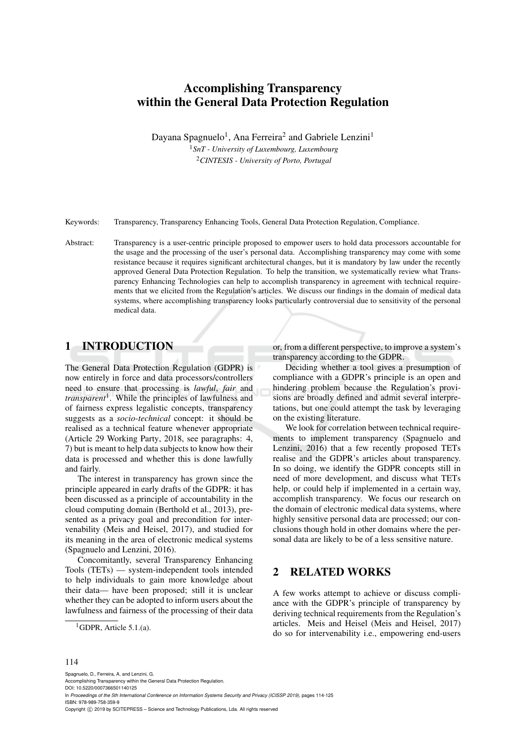# Accomplishing Transparency within the General Data Protection Regulation

Dayana Spagnuelo<sup>1</sup>, Ana Ferreira<sup>2</sup> and Gabriele Lenzini<sup>1</sup>

<sup>1</sup>*SnT - University of Luxembourg, Luxembourg* <sup>2</sup>*CINTESIS - University of Porto, Portugal*

Keywords: Transparency, Transparency Enhancing Tools, General Data Protection Regulation, Compliance.

Abstract: Transparency is a user-centric principle proposed to empower users to hold data processors accountable for the usage and the processing of the user's personal data. Accomplishing transparency may come with some resistance because it requires significant architectural changes, but it is mandatory by law under the recently approved General Data Protection Regulation. To help the transition, we systematically review what Transparency Enhancing Technologies can help to accomplish transparency in agreement with technical requirements that we elicited from the Regulation's articles. We discuss our findings in the domain of medical data systems, where accomplishing transparency looks particularly controversial due to sensitivity of the personal medical data.

## 1 INTRODUCTION

The General Data Protection Regulation (GDPR) is now entirely in force and data processors/controllers need to ensure that processing is *lawful*, *fair* and *transparent*<sup>1</sup> . While the principles of lawfulness and of fairness express legalistic concepts, transparency suggests as a *socio-technical* concept: it should be realised as a technical feature whenever appropriate (Article 29 Working Party, 2018, see paragraphs: 4, 7) but is meant to help data subjects to know how their data is processed and whether this is done lawfully and fairly.

The interest in transparency has grown since the principle appeared in early drafts of the GDPR: it has been discussed as a principle of accountability in the cloud computing domain (Berthold et al., 2013), presented as a privacy goal and precondition for intervenability (Meis and Heisel, 2017), and studied for its meaning in the area of electronic medical systems (Spagnuelo and Lenzini, 2016).

Concomitantly, several Transparency Enhancing Tools (TETs) — system-independent tools intended to help individuals to gain more knowledge about their data— have been proposed; still it is unclear whether they can be adopted to inform users about the lawfulness and fairness of the processing of their data or, from a different perspective, to improve a system's transparency according to the GDPR.

Deciding whether a tool gives a presumption of compliance with a GDPR's principle is an open and hindering problem because the Regulation's provisions are broadly defined and admit several interpretations, but one could attempt the task by leveraging on the existing literature.

We look for correlation between technical requirements to implement transparency (Spagnuelo and Lenzini, 2016) that a few recently proposed TETs realise and the GDPR's articles about transparency. In so doing, we identify the GDPR concepts still in need of more development, and discuss what TETs help, or could help if implemented in a certain way, accomplish transparency. We focus our research on the domain of electronic medical data systems, where highly sensitive personal data are processed; our conclusions though hold in other domains where the personal data are likely to be of a less sensitive nature.

#### 2 RELATED WORKS

A few works attempt to achieve or discuss compliance with the GDPR's principle of transparency by deriving technical requirements from the Regulation's articles. Meis and Heisel (Meis and Heisel, 2017) do so for intervenability i.e., empowering end-users

#### 114

Spagnuelo, D., Ferreira, A. and Lenzini, G. Accomplishing Transparency within the General Data Protection Regulation. DOI: 10.5220/0007366501140125 In *Proceedings of the 5th International Conference on Information Systems Security and Privacy (ICISSP 2019)*, pages 114-125 ISBN: 978-989-758-359-9 Copyright (C) 2019 by SCITEPRESS - Science and Technology Publications, Lda. All rights reserved

<sup>&</sup>lt;sup>1</sup>GDPR, Article 5.1.(a).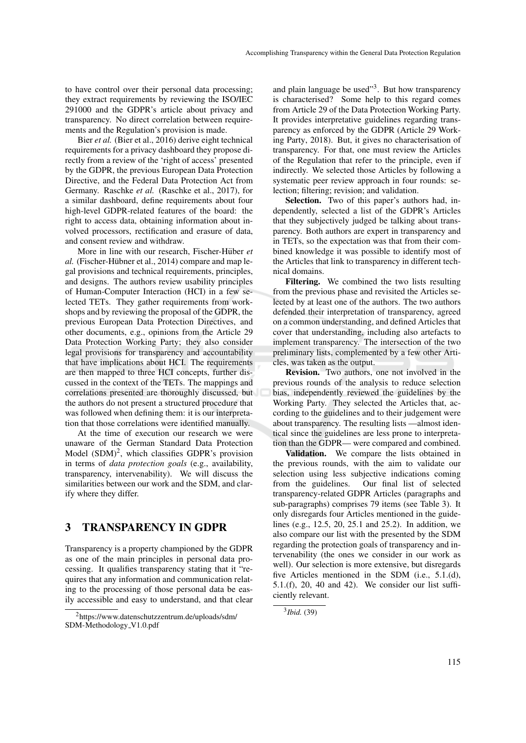to have control over their personal data processing; they extract requirements by reviewing the ISO/IEC 291000 and the GDPR's article about privacy and transparency. No direct correlation between requirements and the Regulation's provision is made.

Bier *et al.* (Bier et al., 2016) derive eight technical requirements for a privacy dashboard they propose directly from a review of the 'right of access' presented by the GDPR, the previous European Data Protection Directive, and the Federal Data Protection Act from Germany. Raschke *et al.* (Raschke et al., 2017), for a similar dashboard, define requirements about four high-level GDPR-related features of the board: the right to access data, obtaining information about involved processors, rectification and erasure of data, and consent review and withdraw.

More in line with our research, Fischer-Hüber et *al.* (Fischer-Hübner et al., 2014) compare and map legal provisions and technical requirements, principles, and designs. The authors review usability principles of Human-Computer Interaction (HCI) in a few selected TETs. They gather requirements from workshops and by reviewing the proposal of the GDPR, the previous European Data Protection Directives, and other documents, e.g., opinions from the Article 29 Data Protection Working Party; they also consider legal provisions for transparency and accountability that have implications about HCI. The requirements are then mapped to three HCI concepts, further discussed in the context of the TETs. The mappings and correlations presented are thoroughly discussed, but the authors do not present a structured procedure that was followed when defining them: it is our interpretation that those correlations were identified manually.

At the time of execution our research we were unaware of the German Standard Data Protection Model  $(SDM)^2$ , which classifies GDPR's provision in terms of *data protection goals* (e.g., availability, transparency, intervenability). We will discuss the similarities between our work and the SDM, and clarify where they differ.

### 3 TRANSPARENCY IN GDPR

Transparency is a property championed by the GDPR as one of the main principles in personal data processing. It qualifies transparency stating that it "requires that any information and communication relating to the processing of those personal data be easily accessible and easy to understand, and that clear

and plain language be used"<sup>3</sup>. But how transparency is characterised? Some help to this regard comes from Article 29 of the Data Protection Working Party. It provides interpretative guidelines regarding transparency as enforced by the GDPR (Article 29 Working Party, 2018). But, it gives no characterisation of transparency. For that, one must review the Articles of the Regulation that refer to the principle, even if indirectly. We selected those Articles by following a systematic peer review approach in four rounds: selection; filtering; revision; and validation.

Selection. Two of this paper's authors had, independently, selected a list of the GDPR's Articles that they subjectively judged be talking about transparency. Both authors are expert in transparency and in TETs, so the expectation was that from their combined knowledge it was possible to identify most of the Articles that link to transparency in different technical domains.

Filtering. We combined the two lists resulting from the previous phase and revisited the Articles selected by at least one of the authors. The two authors defended their interpretation of transparency, agreed on a common understanding, and defined Articles that cover that understanding, including also artefacts to implement transparency. The intersection of the two preliminary lists, complemented by a few other Articles, was taken as the output.

Revision. Two authors, one not involved in the previous rounds of the analysis to reduce selection bias, independently reviewed the guidelines by the Working Party. They selected the Articles that, according to the guidelines and to their judgement were about transparency. The resulting lists —almost identical since the guidelines are less prone to interpretation than the GDPR— were compared and combined.

Validation. We compare the lists obtained in the previous rounds, with the aim to validate our selection using less subjective indications coming from the guidelines. Our final list of selected transparency-related GDPR Articles (paragraphs and sub-paragraphs) comprises 79 items (see Table 3). It only disregards four Articles mentioned in the guidelines (e.g., 12.5, 20, 25.1 and 25.2). In addition, we also compare our list with the presented by the SDM regarding the protection goals of transparency and intervenability (the ones we consider in our work as well). Our selection is more extensive, but disregards five Articles mentioned in the SDM (i.e., 5.1.(d), 5.1.(f), 20, 40 and 42). We consider our list sufficiently relevant.

<sup>2</sup>https://www.datenschutzzentrum.de/uploads/sdm/ SDM-Methodology\_V1.0.pdf

<sup>3</sup> *Ibid.* (39)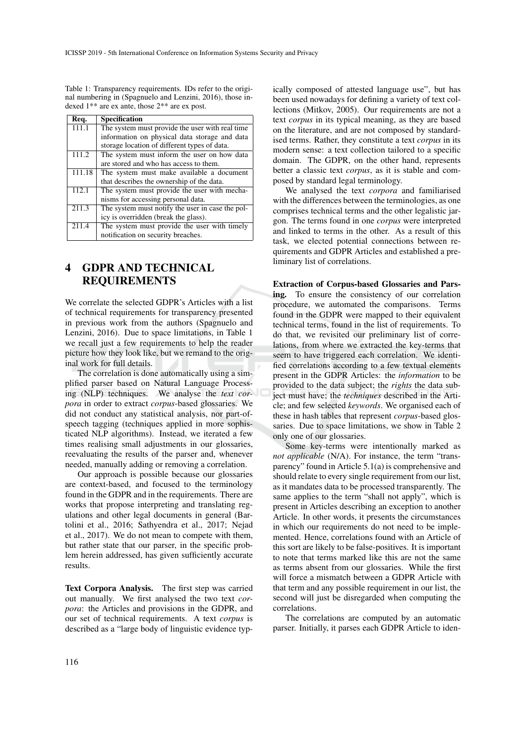Table 1: Transparency requirements. IDs refer to the original numbering in (Spagnuelo and Lenzini, 2016), those indexed 1\*\* are ex ante, those 2\*\* are ex post.

| Req.   | <b>Specification</b>                             |
|--------|--------------------------------------------------|
| 111.1  | The system must provide the user with real time  |
|        | information on physical data storage and data    |
|        | storage location of different types of data.     |
| 111.2  | The system must inform the user on how data      |
|        | are stored and who has access to them.           |
| 111.18 | The system must make available a document        |
|        | that describes the ownership of the data.        |
| 112.1  | The system must provide the user with mecha-     |
|        | nisms for accessing personal data.               |
| 211.3  | The system must notify the user in case the pol- |
|        | icy is overridden (break the glass).             |
| 211.4  | The system must provide the user with timely     |
|        | notification on security breaches.               |

## 4 GDPR AND TECHNICAL REQUIREMENTS

We correlate the selected GDPR's Articles with a list of technical requirements for transparency presented in previous work from the authors (Spagnuelo and Lenzini, 2016). Due to space limitations, in Table 1 we recall just a few requirements to help the reader picture how they look like, but we remand to the original work for full details.

The correlation is done automatically using a simplified parser based on Natural Language Processing (NLP) techniques. We analyse the *text corpora* in order to extract *corpus*-based glossaries. We did not conduct any statistical analysis, nor part-ofspeech tagging (techniques applied in more sophisticated NLP algorithms). Instead, we iterated a few times realising small adjustments in our glossaries, reevaluating the results of the parser and, whenever needed, manually adding or removing a correlation.

Our approach is possible because our glossaries are context-based, and focused to the terminology found in the GDPR and in the requirements. There are works that propose interpreting and translating regulations and other legal documents in general (Bartolini et al., 2016; Sathyendra et al., 2017; Nejad et al., 2017). We do not mean to compete with them, but rather state that our parser, in the specific problem herein addressed, has given sufficiently accurate results.

Text Corpora Analysis. The first step was carried out manually. We first analysed the two text *corpora*: the Articles and provisions in the GDPR, and our set of technical requirements. A text *corpus* is described as a "large body of linguistic evidence typ-

ically composed of attested language use", but has been used nowadays for defining a variety of text collections (Mitkov, 2005). Our requirements are not a text *corpus* in its typical meaning, as they are based on the literature, and are not composed by standardised terms. Rather, they constitute a text *corpus* in its modern sense: a text collection tailored to a specific domain. The GDPR, on the other hand, represents better a classic text *corpus*, as it is stable and composed by standard legal terminology.

We analysed the text *corpora* and familiarised with the differences between the terminologies, as one comprises technical terms and the other legalistic jargon. The terms found in one *corpus* were interpreted and linked to terms in the other. As a result of this task, we elected potential connections between requirements and GDPR Articles and established a preliminary list of correlations.

Extraction of Corpus-based Glossaries and Parsing. To ensure the consistency of our correlation procedure, we automated the comparisons. Terms found in the GDPR were mapped to their equivalent technical terms, found in the list of requirements. To do that, we revisited our preliminary list of correlations, from where we extracted the key-terms that seem to have triggered each correlation. We identified correlations according to a few textual elements present in the GDPR Articles: the *information* to be provided to the data subject; the *rights* the data subject must have; the *techniques* described in the Article; and few selected *keywords*. We organised each of these in hash tables that represent *corpus*-based glossaries. Due to space limitations, we show in Table 2 only one of our glossaries.

Some key-terms were intentionally marked as *not applicable* (N/A). For instance, the term "transparency" found in Article 5.1(a) is comprehensive and should relate to every single requirement from our list, as it mandates data to be processed transparently. The same applies to the term "shall not apply", which is present in Articles describing an exception to another Article. In other words, it presents the circumstances in which our requirements do not need to be implemented. Hence, correlations found with an Article of this sort are likely to be false-positives. It is important to note that terms marked like this are not the same as terms absent from our glossaries. While the first will force a mismatch between a GDPR Article with that term and any possible requirement in our list, the second will just be disregarded when computing the correlations.

The correlations are computed by an automatic parser. Initially, it parses each GDPR Article to iden-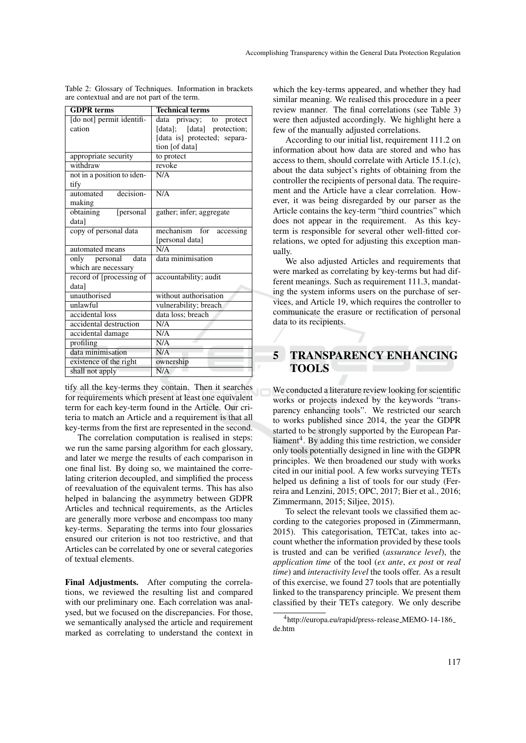| <b>GDPR</b> terms          | <b>Technical terms</b>         |  |  |
|----------------------------|--------------------------------|--|--|
| [do not] permit identifi-  | privacy; to<br>data<br>protect |  |  |
| cation                     | [data]; [data] protection;     |  |  |
|                            | [data is] protected; separa-   |  |  |
|                            | tion [of data]                 |  |  |
| appropriate security       | to protect                     |  |  |
| withdraw                   | revoke                         |  |  |
| not in a position to iden- | N/A                            |  |  |
| tify                       |                                |  |  |
| decision-<br>automated     | N/A                            |  |  |
| making                     |                                |  |  |
| obtaining<br>[personal     | gather; infer; aggregate       |  |  |
| data]                      |                                |  |  |
| copy of personal data      | mechanism for<br>accessing     |  |  |
|                            | [personal data]                |  |  |
| automated means            | N/A                            |  |  |
| only personal<br>data      | data minimisation              |  |  |
| which are necessary        |                                |  |  |
| record of [processing of   | accountability; audit          |  |  |
| data]                      |                                |  |  |
| unauthorised               | without authorisation          |  |  |
| unlawful                   | vulnerability; breach          |  |  |
| accidental loss            | data loss; breach              |  |  |
| accidental destruction     | N/A                            |  |  |
| accidental damage          | N/A                            |  |  |
| profiling                  | N/A                            |  |  |
| data minimisation          | N/A                            |  |  |
| existence of the right     | ownership                      |  |  |
| shall not apply            | N/A                            |  |  |

Table 2: Glossary of Techniques. Information in brackets are contextual and are not part of the term.

tify all the key-terms they contain. Then it searches for requirements which present at least one equivalent term for each key-term found in the Article. Our criteria to match an Article and a requirement is that all key-terms from the first are represented in the second.

The correlation computation is realised in steps: we run the same parsing algorithm for each glossary, and later we merge the results of each comparison in one final list. By doing so, we maintained the correlating criterion decoupled, and simplified the process of reevaluation of the equivalent terms. This has also helped in balancing the asymmetry between GDPR Articles and technical requirements, as the Articles are generally more verbose and encompass too many key-terms. Separating the terms into four glossaries ensured our criterion is not too restrictive, and that Articles can be correlated by one or several categories of textual elements.

Final Adjustments. After computing the correlations, we reviewed the resulting list and compared with our preliminary one. Each correlation was analysed, but we focused on the discrepancies. For those, we semantically analysed the article and requirement marked as correlating to understand the context in

which the key-terms appeared, and whether they had similar meaning. We realised this procedure in a peer review manner. The final correlations (see Table 3) were then adjusted accordingly. We highlight here a few of the manually adjusted correlations.

According to our initial list, requirement 111.2 on information about how data are stored and who has access to them, should correlate with Article 15.1.(c), about the data subject's rights of obtaining from the controller the recipients of personal data. The requirement and the Article have a clear correlation. However, it was being disregarded by our parser as the Article contains the key-term "third countries" which does not appear in the requirement. As this keyterm is responsible for several other well-fitted correlations, we opted for adjusting this exception manually.

We also adjusted Articles and requirements that were marked as correlating by key-terms but had different meanings. Such as requirement 111.3, mandating the system informs users on the purchase of services, and Article 19, which requires the controller to communicate the erasure or rectification of personal data to its recipients.

## 5 TRANSPARENCY ENHANCING TOOLS

We conducted a literature review looking for scientific works or projects indexed by the keywords "transparency enhancing tools". We restricted our search to works published since 2014, the year the GDPR started to be strongly supported by the European Parliament<sup>4</sup>. By adding this time restriction, we consider only tools potentially designed in line with the GDPR principles. We then broadened our study with works cited in our initial pool. A few works surveying TETs helped us defining a list of tools for our study (Ferreira and Lenzini, 2015; OPC, 2017; Bier et al., 2016; Zimmermann, 2015; Siljee, 2015).

To select the relevant tools we classified them according to the categories proposed in (Zimmermann, 2015). This categorisation, TETCat, takes into account whether the information provided by these tools is trusted and can be verified (*assurance level*), the *application time* of the tool (*ex ante*, *ex post* or *real time*) and *interactivity level* the tools offer. As a result of this exercise, we found 27 tools that are potentially linked to the transparency principle. We present them classified by their TETs category. We only describe

<sup>4</sup>http://europa.eu/rapid/press-release MEMO-14-186 de.htm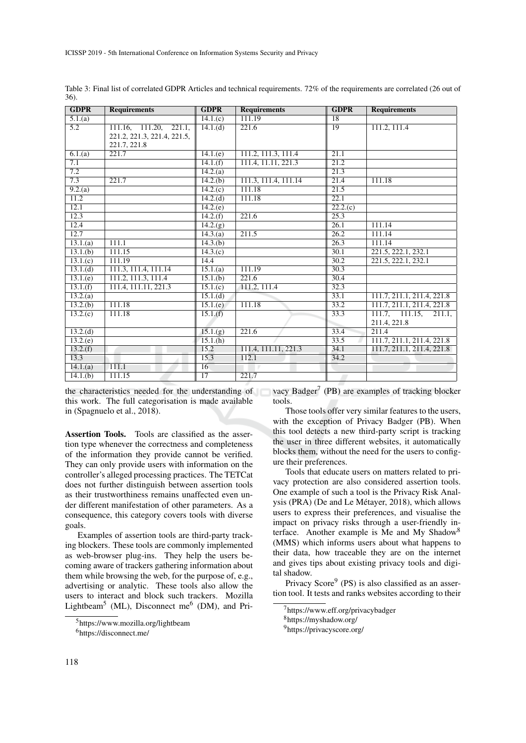| <b>GDPR</b>          | <b>Requirements</b>         | <b>GDPR</b>            | <b>Requirements</b>  | <b>GDPR</b>       | <b>Requirements</b>        |
|----------------------|-----------------------------|------------------------|----------------------|-------------------|----------------------------|
| 5.1(a)               |                             | 14.1(c)                | 111.19               | 18                |                            |
| $\overline{5.2}$     | 111.16, 111.20, 221.1,      | 14.1(d)                | $\overline{221.6}$   | $\overline{19}$   | 111.2, 111.4               |
|                      | 221.2, 221.3, 221.4, 221.5, |                        |                      |                   |                            |
|                      | 221.7, 221.8                |                        |                      |                   |                            |
| 6.1(a)               | 221.7                       | 14.1(e)                | 111.2, 111.3, 111.4  | 21.1              |                            |
| 7.1                  |                             | 14.1(f)                | 111.4, 11.11, 221.3  | $\overline{21.2}$ |                            |
| 7.2                  |                             | 14.2(a)                |                      | 21.3              |                            |
| 7.3                  | 221.7                       | 14.2(b)                | 111.3, 111.4, 111.14 | 21.4              | 111.18                     |
| 9.2(a)               |                             | 14.2(c)                | 111.18               | 21.5              |                            |
| 11.2                 |                             | 14.2(d)                | 111.18               | 22.1              |                            |
| 12.1                 |                             | 14.2(e)                |                      | 22.2(c)           |                            |
| 12.3                 |                             | 14.2(f)                | 221.6                | 25.3              |                            |
| 12.4                 |                             | 14.2(g)                |                      | $\overline{26.1}$ | 111.14                     |
| 12.7                 |                             | 14.3(a)                | 211.5                | $\overline{26.2}$ | 111.14                     |
| $\overline{13.1(a)}$ | 111.1                       | 14.3(b)                |                      | 26.3              | 111.14                     |
| 13.1(b)              | 111.15                      | 14.3(c)                |                      | 30.1              | 221.5, 222.1, 232.1        |
| 13.1(c)              | 111.19                      | 14.4                   |                      | 30.2              | 221.5, 222.1, 232.1        |
| 13.1.(d)             | 111.3, 111.4, 111.14        | 15.1(a)                | 111.19               | 30.3              |                            |
| 13.1(e)              | 111.2, 111.3, 111.4         | $\overline{15.1}$ .(b) | 221.6                | 30.4              |                            |
| 13.1(f)              | 111.4, 111.11, 221.3        | 15.1(c)                | 111.2, 111.4         | 32.3              |                            |
| 13.2(a)              |                             | 15.1.(d)               |                      | 33.1              | 111.7, 211.1, 211.4, 221.8 |
| 13.2(b)              | 111.18                      | 15.1(e)                | 111.18               | 33.2              | 111.7, 211.1, 211.4, 221.8 |
| 13.2(c)              | 111.18                      | 15.1(f)                |                      | 33.3              | 111.7, 111.15,<br>211.1.   |
|                      |                             |                        |                      |                   | 211.4, 221.8               |
| 13.2(d)              |                             | 15.1(g)                | 221.6                | 33.4              | 211.4                      |
| 13.2(e)              |                             | 15.1(h)                |                      | 33.5              | 111.7, 211.1, 211.4, 221.8 |
| 13.2(f)              |                             | 15.2                   | 111.4, 111.11, 221.3 | 34.1              | 111.7, 211.1, 211.4, 221.8 |
| 13.3                 |                             | 15.3                   | 112.1                | 34.2              |                            |
| 14.1(a)              | 111.1                       | $\overline{16}$        |                      |                   |                            |
| 14.1(b)              | 111.15                      | $\overline{17}$        | 221.7                |                   |                            |

Table 3: Final list of correlated GDPR Articles and technical requirements. 72% of the requirements are correlated (26 out of 36).

the characteristics needed for the understanding of this work. The full categorisation is made available in (Spagnuelo et al., 2018).

Assertion Tools. Tools are classified as the assertion type whenever the correctness and completeness of the information they provide cannot be verified. They can only provide users with information on the controller's alleged processing practices. The TETCat does not further distinguish between assertion tools as their trustworthiness remains unaffected even under different manifestation of other parameters. As a consequence, this category covers tools with diverse goals.

Examples of assertion tools are third-party tracking blockers. These tools are commonly implemented as web-browser plug-ins. They help the users becoming aware of trackers gathering information about them while browsing the web, for the purpose of, e.g., advertising or analytic. These tools also allow the users to interact and block such trackers. Mozilla Lightbeam<sup>5</sup> (ML), Disconnect me<sup>6</sup> (DM), and Pri-

vacy Badger<sup>7</sup> (PB) are examples of tracking blocker tools.

Those tools offer very similar features to the users, with the exception of Privacy Badger (PB). When this tool detects a new third-party script is tracking the user in three different websites, it automatically blocks them, without the need for the users to configure their preferences.

Tools that educate users on matters related to privacy protection are also considered assertion tools. One example of such a tool is the Privacy Risk Analysis (PRA) (De and Le Métayer, 2018), which allows users to express their preferences, and visualise the impact on privacy risks through a user-friendly interface. Another example is Me and My Shadow<sup>8</sup> (MMS) which informs users about what happens to their data, how traceable they are on the internet and gives tips about existing privacy tools and digital shadow.

Privacy Score<sup>9</sup> (PS) is also classified as an assertion tool. It tests and ranks websites according to their

<sup>5</sup>https://www.mozilla.org/lightbeam

<sup>6</sup>https://disconnect.me/

<sup>7</sup>https://www.eff.org/privacybadger

<sup>8</sup>https://myshadow.org/

<sup>9</sup>https://privacyscore.org/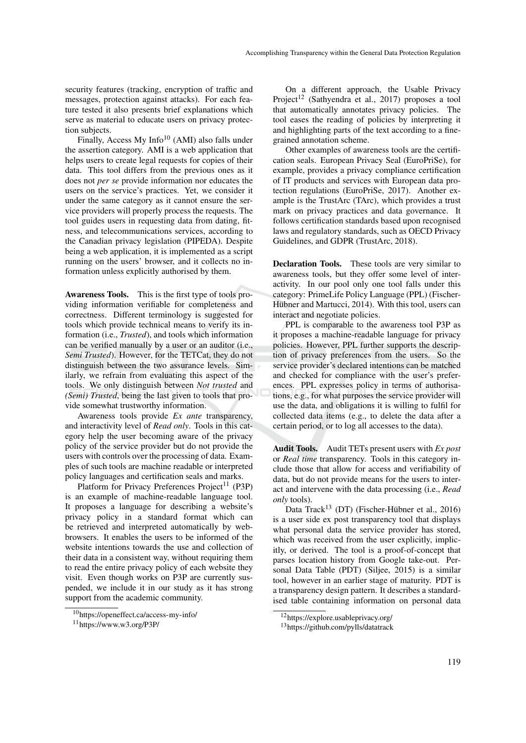security features (tracking, encryption of traffic and messages, protection against attacks). For each feature tested it also presents brief explanations which serve as material to educate users on privacy protection subjects.

Finally, Access My Info<sup>10</sup> (AMI) also falls under the assertion category. AMI is a web application that helps users to create legal requests for copies of their data. This tool differs from the previous ones as it does not *per se* provide information nor educates the users on the service's practices. Yet, we consider it under the same category as it cannot ensure the service providers will properly process the requests. The tool guides users in requesting data from dating, fitness, and telecommunications services, according to the Canadian privacy legislation (PIPEDA). Despite being a web application, it is implemented as a script running on the users' browser, and it collects no information unless explicitly authorised by them.

Awareness Tools. This is the first type of tools providing information verifiable for completeness and correctness. Different terminology is suggested for tools which provide technical means to verify its information (i.e., *Trusted*), and tools which information can be verified manually by a user or an auditor (i.e., *Semi Trusted*). However, for the TETCat, they do not distinguish between the two assurance levels. Similarly, we refrain from evaluating this aspect of the tools. We only distinguish between *Not trusted* and *(Semi) Trusted*, being the last given to tools that provide somewhat trustworthy information.

Awareness tools provide *Ex ante* transparency, and interactivity level of *Read only*. Tools in this category help the user becoming aware of the privacy policy of the service provider but do not provide the users with controls over the processing of data. Examples of such tools are machine readable or interpreted policy languages and certification seals and marks.

Platform for Privacy Preferences Project<sup>11</sup> (P3P) is an example of machine-readable language tool. It proposes a language for describing a website's privacy policy in a standard format which can be retrieved and interpreted automatically by webbrowsers. It enables the users to be informed of the website intentions towards the use and collection of their data in a consistent way, without requiring them to read the entire privacy policy of each website they visit. Even though works on P3P are currently suspended, we include it in our study as it has strong support from the academic community.

On a different approach, the Usable Privacy Project<sup>12</sup> (Sathyendra et al., 2017) proposes a tool that automatically annotates privacy policies. The tool eases the reading of policies by interpreting it and highlighting parts of the text according to a finegrained annotation scheme.

Other examples of awareness tools are the certification seals. European Privacy Seal (EuroPriSe), for example, provides a privacy compliance certification of IT products and services with European data protection regulations (EuroPriSe, 2017). Another example is the TrustArc (TArc), which provides a trust mark on privacy practices and data governance. It follows certification standards based upon recognised laws and regulatory standards, such as OECD Privacy Guidelines, and GDPR (TrustArc, 2018).

Declaration Tools. These tools are very similar to awareness tools, but they offer some level of interactivity. In our pool only one tool falls under this category: PrimeLife Policy Language (PPL) (Fischer-Hübner and Martucci, 2014). With this tool, users can interact and negotiate policies.

PPL is comparable to the awareness tool P3P as it proposes a machine-readable language for privacy policies. However, PPL further supports the description of privacy preferences from the users. So the service provider's declared intentions can be matched and checked for compliance with the user's preferences. PPL expresses policy in terms of authorisations, e.g., for what purposes the service provider will use the data, and obligations it is willing to fulfil for collected data items (e.g., to delete the data after a certain period, or to log all accesses to the data).

Audit Tools. Audit TETs present users with *Ex post* or *Real time* transparency. Tools in this category include those that allow for access and verifiability of data, but do not provide means for the users to interact and intervene with the data processing (i.e., *Read only* tools).

Data Track<sup>13</sup> (DT) (Fischer-Hübner et al., 2016) is a user side ex post transparency tool that displays what personal data the service provider has stored, which was received from the user explicitly, implicitly, or derived. The tool is a proof-of-concept that parses location history from Google take-out. Personal Data Table (PDT) (Siljee, 2015) is a similar tool, however in an earlier stage of maturity. PDT is a transparency design pattern. It describes a standardised table containing information on personal data

<sup>10</sup>https://openeffect.ca/access-my-info/

<sup>11</sup>https://www.w3.org/P3P/

<sup>12</sup>https://explore.usableprivacy.org/

<sup>13</sup>https://github.com/pylls/datatrack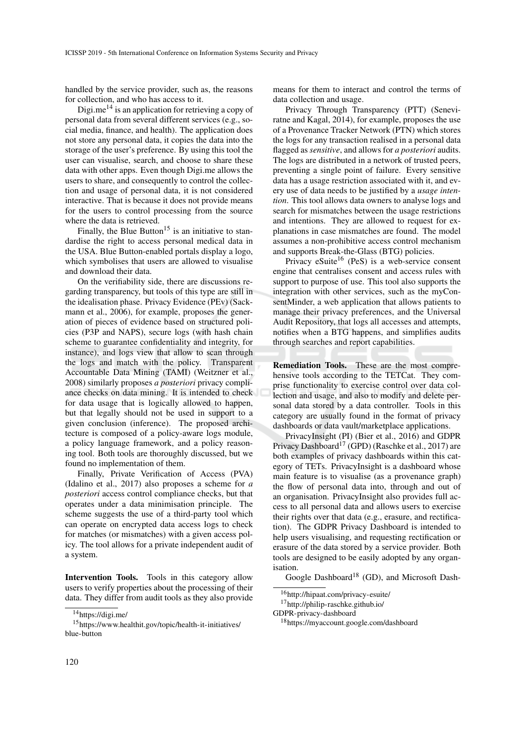handled by the service provider, such as, the reasons for collection, and who has access to it.

Digi.me<sup>14</sup> is an application for retrieving a copy of personal data from several different services (e.g., social media, finance, and health). The application does not store any personal data, it copies the data into the storage of the user's preference. By using this tool the user can visualise, search, and choose to share these data with other apps. Even though Digi.me allows the users to share, and consequently to control the collection and usage of personal data, it is not considered interactive. That is because it does not provide means for the users to control processing from the source where the data is retrieved.

Finally, the Blue Button<sup>15</sup> is an initiative to standardise the right to access personal medical data in the USA. Blue Button-enabled portals display a logo, which symbolises that users are allowed to visualise and download their data.

On the verifiability side, there are discussions regarding transparency, but tools of this type are still in the idealisation phase. Privacy Evidence (PEv) (Sackmann et al., 2006), for example, proposes the generation of pieces of evidence based on structured policies (P3P and NAPS), secure logs (with hash chain scheme to guarantee confidentiality and integrity, for instance), and logs view that allow to scan through the logs and match with the policy. Transparent Accountable Data Mining (TAMI) (Weitzner et al., 2008) similarly proposes *a posteriori* privacy compliance checks on data mining. It is intended to check for data usage that is logically allowed to happen, but that legally should not be used in support to a given conclusion (inference). The proposed architecture is composed of a policy-aware logs module, a policy language framework, and a policy reasoning tool. Both tools are thoroughly discussed, but we found no implementation of them.

Finally, Private Verification of Access (PVA) (Idalino et al., 2017) also proposes a scheme for *a posteriori* access control compliance checks, but that operates under a data minimisation principle. The scheme suggests the use of a third-party tool which can operate on encrypted data access logs to check for matches (or mismatches) with a given access policy. The tool allows for a private independent audit of a system.

Intervention Tools. Tools in this category allow users to verify properties about the processing of their data. They differ from audit tools as they also provide means for them to interact and control the terms of data collection and usage.

Privacy Through Transparency (PTT) (Seneviratne and Kagal, 2014), for example, proposes the use of a Provenance Tracker Network (PTN) which stores the logs for any transaction realised in a personal data flagged as *sensitive*, and allows for *a posteriori* audits. The logs are distributed in a network of trusted peers, preventing a single point of failure. Every sensitive data has a usage restriction associated with it, and every use of data needs to be justified by a *usage intention*. This tool allows data owners to analyse logs and search for mismatches between the usage restrictions and intentions. They are allowed to request for explanations in case mismatches are found. The model assumes a non-prohibitive access control mechanism and supports Break-the-Glass (BTG) policies.

Privacy eSuite<sup>16</sup> (PeS) is a web-service consent engine that centralises consent and access rules with support to purpose of use. This tool also supports the integration with other services, such as the myConsentMinder, a web application that allows patients to manage their privacy preferences, and the Universal Audit Repository, that logs all accesses and attempts, notifies when a BTG happens, and simplifies audits through searches and report capabilities.

Remediation Tools. These are the most comprehensive tools according to the TETCat. They comprise functionality to exercise control over data collection and usage, and also to modify and delete personal data stored by a data controller. Tools in this category are usually found in the format of privacy dashboards or data vault/marketplace applications.

PrivacyInsight (PI) (Bier et al., 2016) and GDPR Privacy Dashboard<sup>17</sup> (GPD) (Raschke et al., 2017) are both examples of privacy dashboards within this category of TETs. PrivacyInsight is a dashboard whose main feature is to visualise (as a provenance graph) the flow of personal data into, through and out of an organisation. PrivacyInsight also provides full access to all personal data and allows users to exercise their rights over that data (e.g., erasure, and rectification). The GDPR Privacy Dashboard is intended to help users visualising, and requesting rectification or erasure of the data stored by a service provider. Both tools are designed to be easily adopted by any organisation.

Google Dashboard<sup>18</sup> (GD), and Microsoft Dash-

 $14$ https://digi.me/

<sup>15</sup>https://www.healthit.gov/topic/health-it-initiatives/ blue-button

<sup>16</sup>http://hipaat.com/privacy-esuite/

<sup>17</sup>http://philip-raschke.github.io/

GDPR-privacy-dashboard

<sup>18</sup>https://myaccount.google.com/dashboard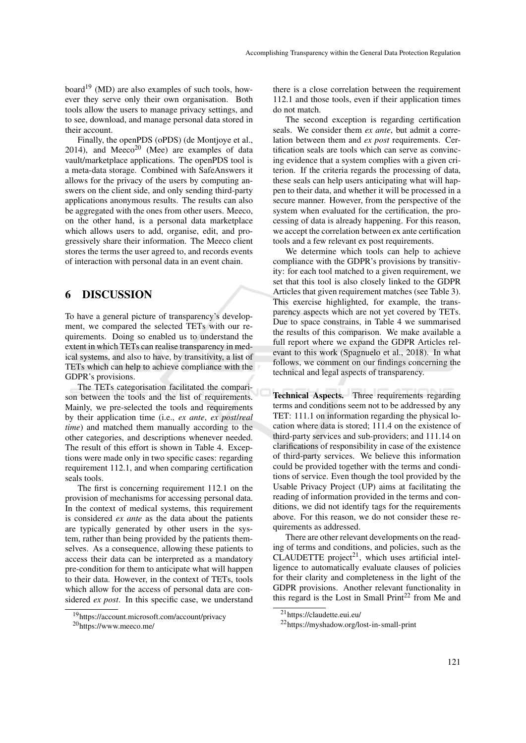board<sup>19</sup> (MD) are also examples of such tools, however they serve only their own organisation. Both tools allow the users to manage privacy settings, and to see, download, and manage personal data stored in their account.

Finally, the openPDS (oPDS) (de Montjoye et al., 2014), and  $Meeco<sup>20</sup>$  (Mee) are examples of data vault/marketplace applications. The openPDS tool is a meta-data storage. Combined with SafeAnswers it allows for the privacy of the users by computing answers on the client side, and only sending third-party applications anonymous results. The results can also be aggregated with the ones from other users. Meeco, on the other hand, is a personal data marketplace which allows users to add, organise, edit, and progressively share their information. The Meeco client stores the terms the user agreed to, and records events of interaction with personal data in an event chain.

## 6 DISCUSSION

To have a general picture of transparency's development, we compared the selected TETs with our requirements. Doing so enabled us to understand the extent in which TETs can realise transparency in medical systems, and also to have, by transitivity, a list of TETs which can help to achieve compliance with the GDPR's provisions.

The TETs categorisation facilitated the comparison between the tools and the list of requirements. Mainly, we pre-selected the tools and requirements by their application time (i.e., *ex ante*, *ex post*/*real time*) and matched them manually according to the other categories, and descriptions whenever needed. The result of this effort is shown in Table 4. Exceptions were made only in two specific cases: regarding requirement 112.1, and when comparing certification seals tools.

The first is concerning requirement 112.1 on the provision of mechanisms for accessing personal data. In the context of medical systems, this requirement is considered *ex ante* as the data about the patients are typically generated by other users in the system, rather than being provided by the patients themselves. As a consequence, allowing these patients to access their data can be interpreted as a mandatory pre-condition for them to anticipate what will happen to their data. However, in the context of TETs, tools which allow for the access of personal data are considered *ex post*. In this specific case, we understand

there is a close correlation between the requirement 112.1 and those tools, even if their application times do not match.

The second exception is regarding certification seals. We consider them *ex ante*, but admit a correlation between them and *ex post* requirements. Certification seals are tools which can serve as convincing evidence that a system complies with a given criterion. If the criteria regards the processing of data, these seals can help users anticipating what will happen to their data, and whether it will be processed in a secure manner. However, from the perspective of the system when evaluated for the certification, the processing of data is already happening. For this reason, we accept the correlation between ex ante certification tools and a few relevant ex post requirements.

We determine which tools can help to achieve compliance with the GDPR's provisions by transitivity: for each tool matched to a given requirement, we set that this tool is also closely linked to the GDPR Articles that given requirement matches (see Table 3). This exercise highlighted, for example, the transparency aspects which are not yet covered by TETs. Due to space constrains, in Table 4 we summarised the results of this comparison. We make available a full report where we expand the GDPR Articles relevant to this work (Spagnuelo et al., 2018). In what follows, we comment on our findings concerning the technical and legal aspects of transparency.

Technical Aspects. Three requirements regarding terms and conditions seem not to be addressed by any TET: 111.1 on information regarding the physical location where data is stored; 111.4 on the existence of third-party services and sub-providers; and 111.14 on clarifications of responsibility in case of the existence of third-party services. We believe this information could be provided together with the terms and conditions of service. Even though the tool provided by the Usable Privacy Project (UP) aims at facilitating the reading of information provided in the terms and conditions, we did not identify tags for the requirements above. For this reason, we do not consider these requirements as addressed.

There are other relevant developments on the reading of terms and conditions, and policies, such as the CLAUDETTE project<sup>21</sup>, which uses artificial intelligence to automatically evaluate clauses of policies for their clarity and completeness in the light of the GDPR provisions. Another relevant functionality in this regard is the Lost in Small Print<sup>22</sup> from Me and

<sup>19</sup>https://account.microsoft.com/account/privacy

<sup>20</sup>https://www.meeco.me/

<sup>21</sup>https://claudette.eui.eu/

<sup>22</sup>https://myshadow.org/lost-in-small-print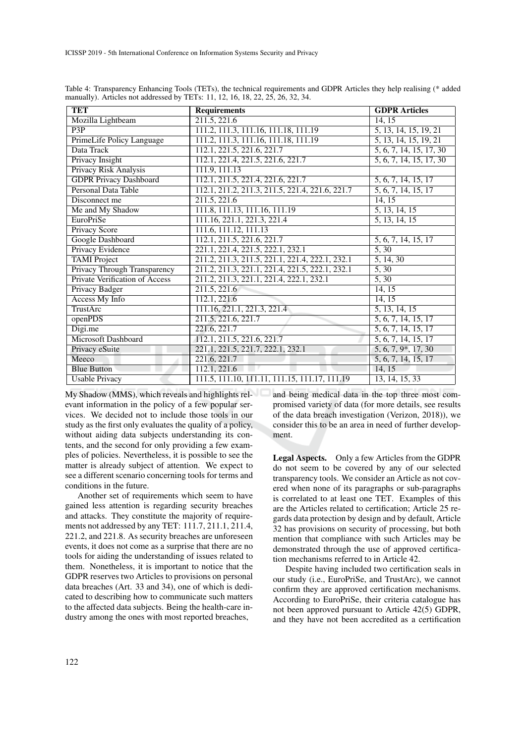| <b>TET</b>                            | <b>Requirements</b>                             | <b>GDPR</b> Articles             |
|---------------------------------------|-------------------------------------------------|----------------------------------|
| Mozilla Lightbeam                     | 211.5, 221.6                                    | 14, 15                           |
| $\overline{P3P}$                      | 111.2, 111.3, 111.16, 111.18, 111.19            | 5, 13, 14, 15, 19, 21            |
| PrimeLife Policy Language             | 111.2, 111.3, 111.16, 111.18, 111.19            | 5, 13, 14, 15, 19, 21            |
| Data Track                            | 112.1, 221.5, 221.6, 221.7                      | 5, 6, 7, 14, 15, 17, 30          |
| Privacy Insight                       | 112.1, 221.4, 221.5, 221.6, 221.7               | 5, 6, 7, 14, 15, 17, 30          |
| Privacy Risk Analysis                 | 111.9, 111.13                                   |                                  |
| <b>GDPR Privacy Dashboard</b>         | 112.1, 211.5, 221.4, 221.6, 221.7               | $\overline{5, 6, 7, 14, 15, 17}$ |
| <b>Personal Data Table</b>            | 112.1, 211.2, 211.3, 211.5, 221.4, 221.6, 221.7 | 5, 6, 7, 14, 15, 17              |
| Disconnect me                         | 211.5, 221.6                                    | 14, 15                           |
| Me and My Shadow                      | 111.8, 111.13, 111.16, 111.19                   | 5, 13, 14, 15                    |
| EuroPriSe                             | 111.16, 221.1, 221.3, 221.4                     | 5, 13, 14, 15                    |
| Privacy Score                         | 111.6, 111.12, 111.13                           |                                  |
| Google Dashboard                      | 112.1, 211.5, 221.6, 221.7                      | 5, 6, 7, 14, 15, 17              |
| Privacy Evidence                      | 221.1, 221.4, 221.5, 222.1, 232.1               | 5, 30                            |
| <b>TAMI</b> Project                   | 211.2, 211.3, 211.5, 221.1, 221.4, 222.1, 232.1 | 5, 14, 30                        |
| <b>Privacy Through Transparency</b>   | 211.2, 211.3, 221.1, 221.4, 221.5, 222.1, 232.1 | $\overline{5, 30}$               |
| <b>Private Verification of Access</b> | 211.2, 211.3, 221.1, 221.4, 222.1, 232.1        | 5, 30                            |
| <b>Privacy Badger</b>                 | 211.5, 221.6                                    | 14, 15                           |
| <b>Access My Info</b>                 | 112.1, 221.6                                    | 14, 15                           |
| <b>TrustArc</b>                       | 111.16, 221.1, 221.3, 221.4                     | $\overline{5, 13, 14, 15}$       |
| openPDS                               | 211.5, 221.6, 221.7                             | 5, 6, 7, 14, 15, 17              |
| Digi.me                               | 221.6, 221.7                                    | $\overline{5, 6, 7, 14, 15, 17}$ |
| Microsoft Dashboard                   | 112.1, 211.5, 221.6, 221.7                      | 5, 6, 7, 14, 15, 17              |
| Privacy eSuite                        | 221.1, 221.5, 221.7, 222.1, 232.1               | 5, 6, 7, 9, 17, 30               |
| Meeco                                 | 221.6, 221.7                                    | 5, 6, 7, 14, 15, 17              |
| <b>Blue Button</b>                    | 112.1, 221.6                                    | 14, 15                           |
| <b>Usable Privacy</b>                 | 111.5, 111.10, 111.11, 111.15, 111.17, 111.19   | 13, 14, 15, 33                   |

Table 4: Transparency Enhancing Tools (TETs), the technical requirements and GDPR Articles they help realising (\* added manually). Articles not addressed by TETs: 11, 12, 16, 18, 22, 25, 26, 32, 34.

My Shadow (MMS), which reveals and highlights relevant information in the policy of a few popular services. We decided not to include those tools in our study as the first only evaluates the quality of a policy, without aiding data subjects understanding its contents, and the second for only providing a few examples of policies. Nevertheless, it is possible to see the matter is already subject of attention. We expect to see a different scenario concerning tools for terms and conditions in the future.

Another set of requirements which seem to have gained less attention is regarding security breaches and attacks. They constitute the majority of requirements not addressed by any TET: 111.7, 211.1, 211.4, 221.2, and 221.8. As security breaches are unforeseen events, it does not come as a surprise that there are no tools for aiding the understanding of issues related to them. Nonetheless, it is important to notice that the GDPR reserves two Articles to provisions on personal data breaches (Art. 33 and 34), one of which is dedicated to describing how to communicate such matters to the affected data subjects. Being the health-care industry among the ones with most reported breaches,

and being medical data in the top three most compromised variety of data (for more details, see results of the data breach investigation (Verizon, 2018)), we consider this to be an area in need of further development.

Legal Aspects. Only a few Articles from the GDPR do not seem to be covered by any of our selected transparency tools. We consider an Article as not covered when none of its paragraphs or sub-paragraphs is correlated to at least one TET. Examples of this are the Articles related to certification; Article 25 regards data protection by design and by default, Article 32 has provisions on security of processing, but both mention that compliance with such Articles may be demonstrated through the use of approved certification mechanisms referred to in Article 42.

Despite having included two certification seals in our study (i.e., EuroPriSe, and TrustArc), we cannot confirm they are approved certification mechanisms. According to EuroPriSe, their criteria catalogue has not been approved pursuant to Article 42(5) GDPR, and they have not been accredited as a certification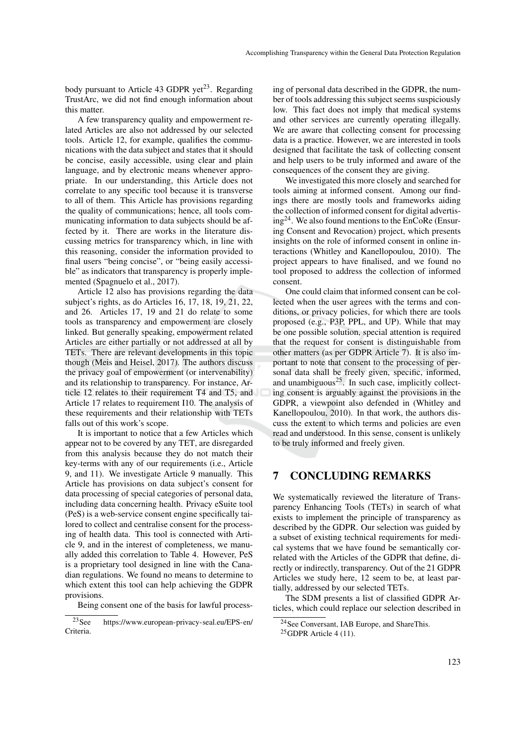body pursuant to Article 43 GDPR yet<sup>23</sup>. Regarding TrustArc, we did not find enough information about this matter.

A few transparency quality and empowerment related Articles are also not addressed by our selected tools. Article 12, for example, qualifies the communications with the data subject and states that it should be concise, easily accessible, using clear and plain language, and by electronic means whenever appropriate. In our understanding, this Article does not correlate to any specific tool because it is transverse to all of them. This Article has provisions regarding the quality of communications; hence, all tools communicating information to data subjects should be affected by it. There are works in the literature discussing metrics for transparency which, in line with this reasoning, consider the information provided to final users "being concise", or "being easily accessible" as indicators that transparency is properly implemented (Spagnuelo et al., 2017).

Article 12 also has provisions regarding the data subject's rights, as do Articles 16, 17, 18, 19, 21, 22, and 26. Articles 17, 19 and 21 do relate to some tools as transparency and empowerment are closely linked. But generally speaking, empowerment related Articles are either partially or not addressed at all by TETs. There are relevant developments in this topic though (Meis and Heisel, 2017). The authors discuss the privacy goal of empowerment (or intervenability) and its relationship to transparency. For instance, Article 12 relates to their requirement T4 and T5, and Article 17 relates to requirement I10. The analysis of these requirements and their relationship with TETs falls out of this work's scope.

It is important to notice that a few Articles which appear not to be covered by any TET, are disregarded from this analysis because they do not match their key-terms with any of our requirements (i.e., Article 9, and 11). We investigate Article 9 manually. This Article has provisions on data subject's consent for data processing of special categories of personal data, including data concerning health. Privacy eSuite tool (PeS) is a web-service consent engine specifically tailored to collect and centralise consent for the processing of health data. This tool is connected with Article 9, and in the interest of completeness, we manually added this correlation to Table 4. However, PeS is a proprietary tool designed in line with the Canadian regulations. We found no means to determine to which extent this tool can help achieving the GDPR provisions.

Being consent one of the basis for lawful process-

ing of personal data described in the GDPR, the number of tools addressing this subject seems suspiciously low. This fact does not imply that medical systems and other services are currently operating illegally. We are aware that collecting consent for processing data is a practice. However, we are interested in tools designed that facilitate the task of collecting consent and help users to be truly informed and aware of the consequences of the consent they are giving.

We investigated this more closely and searched for tools aiming at informed consent. Among our findings there are mostly tools and frameworks aiding the collection of informed consent for digital advertising24. We also found mentions to the EnCoRe (Ensuring Consent and Revocation) project, which presents insights on the role of informed consent in online interactions (Whitley and Kanellopoulou, 2010). The project appears to have finalised, and we found no tool proposed to address the collection of informed consent.

One could claim that informed consent can be collected when the user agrees with the terms and conditions, or privacy policies, for which there are tools proposed (e.g., P3P, PPL, and UP). While that may be one possible solution, special attention is required that the request for consent is distinguishable from other matters (as per GDPR Article 7). It is also important to note that consent to the processing of personal data shall be freely given, specific, informed, and unambiguous $^{25}$ . In such case, implicitly collecting consent is arguably against the provisions in the GDPR, a viewpoint also defended in (Whitley and Kanellopoulou, 2010). In that work, the authors discuss the extent to which terms and policies are even read and understood. In this sense, consent is unlikely to be truly informed and freely given.

### 7 CONCLUDING REMARKS

We systematically reviewed the literature of Transparency Enhancing Tools (TETs) in search of what exists to implement the principle of transparency as described by the GDPR. Our selection was guided by a subset of existing technical requirements for medical systems that we have found be semantically correlated with the Articles of the GDPR that define, directly or indirectly, transparency. Out of the 21 GDPR Articles we study here, 12 seem to be, at least partially, addressed by our selected TETs.

The SDM presents a list of classified GDPR Articles, which could replace our selection described in

<sup>23</sup>See https://www.european-privacy-seal.eu/EPS-en/ Criteria.

<sup>24</sup>See Conversant, IAB Europe, and ShareThis.

 $25$ GDPR Article 4 (11).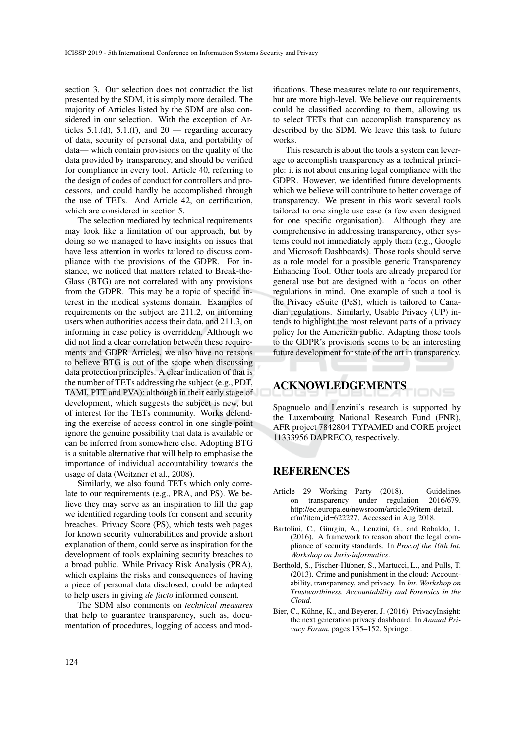section 3. Our selection does not contradict the list presented by the SDM, it is simply more detailed. The majority of Articles listed by the SDM are also considered in our selection. With the exception of Articles  $5.1($ d),  $5.1($ f), and  $20$  — regarding accuracy of data, security of personal data, and portability of data— which contain provisions on the quality of the data provided by transparency, and should be verified for compliance in every tool. Article 40, referring to the design of codes of conduct for controllers and processors, and could hardly be accomplished through the use of TETs. And Article 42, on certification, which are considered in section 5.

The selection mediated by technical requirements may look like a limitation of our approach, but by doing so we managed to have insights on issues that have less attention in works tailored to discuss compliance with the provisions of the GDPR. For instance, we noticed that matters related to Break-the-Glass (BTG) are not correlated with any provisions from the GDPR. This may be a topic of specific interest in the medical systems domain. Examples of requirements on the subject are 211.2, on informing users when authorities access their data, and 211.3, on informing in case policy is overridden. Although we did not find a clear correlation between these requirements and GDPR Articles, we also have no reasons to believe BTG is out of the scope when discussing data protection principles. A clear indication of that is the number of TETs addressing the subject (e.g., PDT, TAMI, PTT and PVA): although in their early stage of development, which suggests the subject is new, but of interest for the TETs community. Works defending the exercise of access control in one single point ignore the genuine possibility that data is available or can be inferred from somewhere else. Adopting BTG is a suitable alternative that will help to emphasise the importance of individual accountability towards the usage of data (Weitzner et al., 2008).

Similarly, we also found TETs which only correlate to our requirements (e.g., PRA, and PS). We believe they may serve as an inspiration to fill the gap we identified regarding tools for consent and security breaches. Privacy Score (PS), which tests web pages for known security vulnerabilities and provide a short explanation of them, could serve as inspiration for the development of tools explaining security breaches to a broad public. While Privacy Risk Analysis (PRA), which explains the risks and consequences of having a piece of personal data disclosed, could be adapted to help users in giving *de facto* informed consent.

The SDM also comments on *technical measures* that help to guarantee transparency, such as, documentation of procedures, logging of access and mod-

ifications. These measures relate to our requirements, but are more high-level. We believe our requirements could be classified according to them, allowing us to select TETs that can accomplish transparency as described by the SDM. We leave this task to future works.

This research is about the tools a system can leverage to accomplish transparency as a technical principle: it is not about ensuring legal compliance with the GDPR. However, we identified future developments which we believe will contribute to better coverage of transparency. We present in this work several tools tailored to one single use case (a few even designed for one specific organisation). Although they are comprehensive in addressing transparency, other systems could not immediately apply them (e.g., Google and Microsoft Dashboards). Those tools should serve as a role model for a possible generic Transparency Enhancing Tool. Other tools are already prepared for general use but are designed with a focus on other regulations in mind. One example of such a tool is the Privacy eSuite (PeS), which is tailored to Canadian regulations. Similarly, Usable Privacy (UP) intends to highlight the most relevant parts of a privacy policy for the American public. Adapting those tools to the GDPR's provisions seems to be an interesting future development for state of the art in transparency.

## ACKNOWLEDGEMENTS

Spagnuelo and Lenzini's research is supported by the Luxembourg National Research Fund (FNR), AFR project 7842804 TYPAMED and CORE project 11333956 DAPRECO, respectively.

IONS

### REFERENCES

- Article 29 Working Party (2018). Guidelines on transparency under regulation 2016/679. http://ec.europa.eu/newsroom/article29/item-detail. cfm?item id=622227. Accessed in Aug 2018.
- Bartolini, C., Giurgiu, A., Lenzini, G., and Robaldo, L. (2016). A framework to reason about the legal compliance of security standards. In *Proc.of the 10th Int. Workshop on Juris-informatics*.
- Berthold, S., Fischer-Hubner, S., Martucci, L., and Pulls, T. ¨ (2013). Crime and punishment in the cloud: Accountability, transparency, and privacy. In *Int. Workshop on Trustworthiness, Accountability and Forensics in the Cloud*.
- Bier, C., Kühne, K., and Beyerer, J. (2016). PrivacyInsight: the next generation privacy dashboard. In *Annual Privacy Forum*, pages 135–152. Springer.